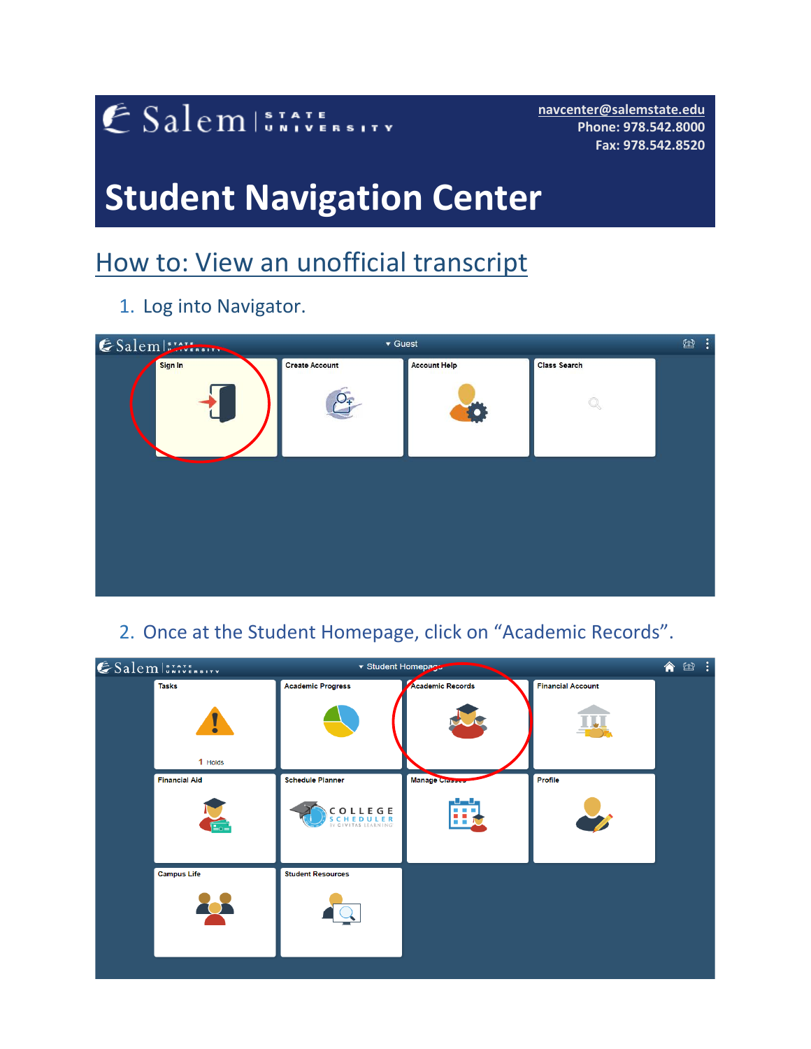## ESalem STATE SITY

**[navcenter@salemstate.edu](mailto:navcenter@salemstate.edu) Phone: 978.542.8000 Fax: 978.542.8520**

# **Student Navigation Center**

## How to: View an unofficial transcript

1. Log into Navigator.

| Salems  | ▼ Guest               |                     |                     | $\ddot{\cdot}$<br>$\textcircled{\scriptsize{H}}$ |
|---------|-----------------------|---------------------|---------------------|--------------------------------------------------|
| Sign In | <b>Create Account</b> | <b>Account Help</b> | <b>Class Search</b> |                                                  |
|         | $\mathcal{Q}_{\mp}$   |                     | Q                   |                                                  |
|         |                       |                     |                     |                                                  |
|         |                       |                     |                     |                                                  |
|         |                       |                     |                     |                                                  |

### 2. Once at the Student Homepage, click on "Academic Records".

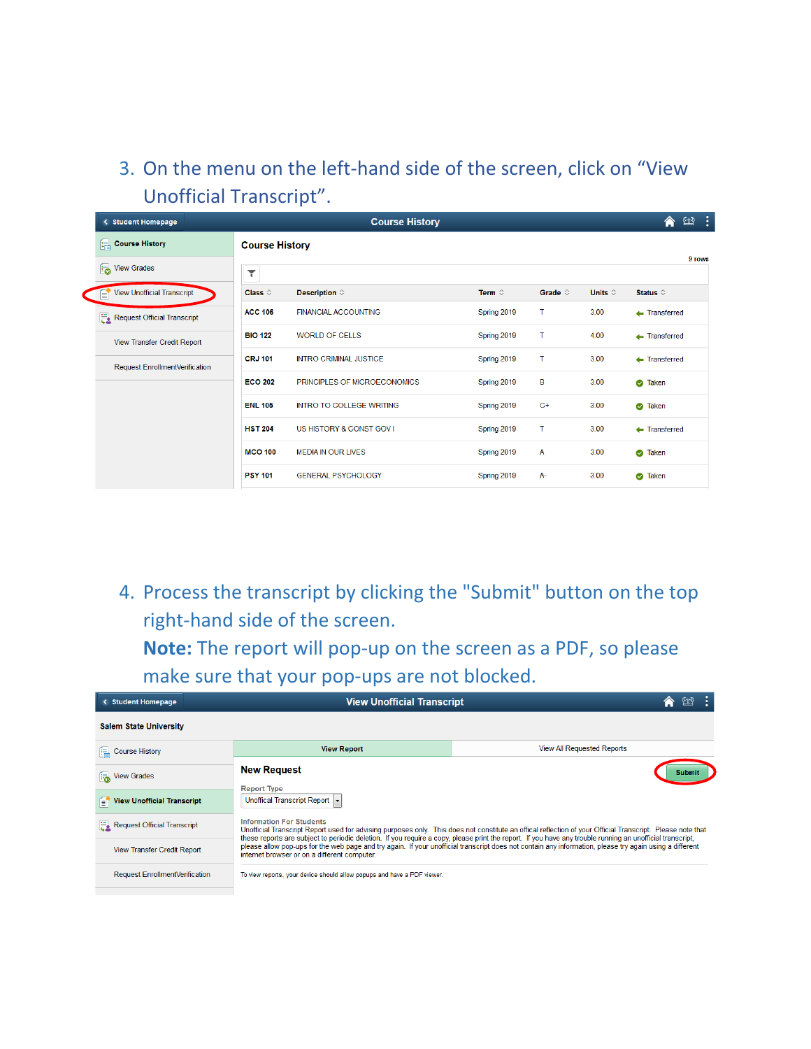### 3. On the menu on the left-hand side of the screen, click on "View Unofficial Transcript".

| < Student Homepage                     |                       | <b>Course History</b>           |                 |                  |                  | - :<br>医<br>合             |  |
|----------------------------------------|-----------------------|---------------------------------|-----------------|------------------|------------------|---------------------------|--|
| Course History                         | <b>Course History</b> |                                 |                 |                  |                  | 9 rows                    |  |
| View Grades                            | ۳                     |                                 |                 |                  |                  |                           |  |
| <b>View Unofficial Transcript</b><br>B | Class $\diamond$      | Description $\diamond$          | Term $\diamond$ | Grade $\diamond$ | Units $\diamond$ | Status $\diamond$         |  |
| Request Official Transcript            | <b>ACC 106</b>        | <b>FINANCIAL ACCOUNTING</b>     | Spring 2019     | т                | 3.00             | $\leftarrow$ Transferred  |  |
| View Transfer Credit Report            | <b>BIO 122</b>        | <b>WORLD OF CELLS</b>           | Spring 2019     | т                | 4.00             | $\leftarrow$ Transferred  |  |
| <b>Request EnrollmentVerification</b>  | <b>CRJ 101</b>        | <b>INTRO CRIMINAL JUSTICE</b>   | Spring 2019     | т                | 3.00             | $\leftarrow$ Transferred  |  |
|                                        | <b>ECO 202</b>        | PRINCIPLES OF MICROECONOMICS    | Spring 2019     | В                | 3.00             | <b>3</b> Taken            |  |
|                                        | <b>ENL 105</b>        | <b>INTRO TO COLLEGE WRITING</b> | Spring 2019     | $C+$             | 3.00             | <b>3</b> Taken            |  |
|                                        | <b>HST 204</b>        | US HISTORY & CONST GOV I        | Spring 2019     | т                | 3.00             | $\leftarrow$ Transferred  |  |
|                                        | <b>MCO 100</b>        | <b>MEDIA IN OUR LIVES</b>       | Spring 2019     | A                | 3.00             | <b>3</b> Taken            |  |
|                                        | <b>PSY 101</b>        | <b>GENERAL PSYCHOLOGY</b>       | Spring 2019     | <b>A-</b>        | 3.00             | <b>Taken</b><br>$\bullet$ |  |

4. Process the transcript by clicking the "Submit" button on the top right-hand side of the screen.

**Note:** The report will pop-up on the screen as a PDF, so please make sure that your pop-ups are not blocked.

| < Student Homepage                       | <b>View Unofficial Transcript</b>                                       |                                                                                                                                                                                                                                                                                                                         |  |  |  |  |
|------------------------------------------|-------------------------------------------------------------------------|-------------------------------------------------------------------------------------------------------------------------------------------------------------------------------------------------------------------------------------------------------------------------------------------------------------------------|--|--|--|--|
| <b>Salem State University</b>            |                                                                         |                                                                                                                                                                                                                                                                                                                         |  |  |  |  |
| <b>EL Course History</b>                 | <b>View Report</b>                                                      | <b>View All Requested Reports</b>                                                                                                                                                                                                                                                                                       |  |  |  |  |
| <b>Franchise</b> View Grades             | <b>New Request</b><br><b>Report Type</b>                                | Submit                                                                                                                                                                                                                                                                                                                  |  |  |  |  |
| <b>View Unofficial Transcript</b><br>er. | Unoffical Transcript Report                                             |                                                                                                                                                                                                                                                                                                                         |  |  |  |  |
| Request Official Transcript              | <b>Information For Students</b>                                         | Unofficial Transcript Report used for advising purposes only. This does not constitute an offical reflection of your Official Transcript. Please note that<br>these reports are subject to periodic deletion. If you require a copy, please print the report. If you have any trouble running an unofficial transcript, |  |  |  |  |
| <b>View Transfer Credit Report</b>       | internet browser or on a different computer.                            | please allow pop-ups for the web page and try again. If your unofficial transcript does not contain any information, please try again using a different                                                                                                                                                                 |  |  |  |  |
| <b>Request EnrollmentVerification</b>    | To view reports, your device should allow popups and have a PDF viewer. |                                                                                                                                                                                                                                                                                                                         |  |  |  |  |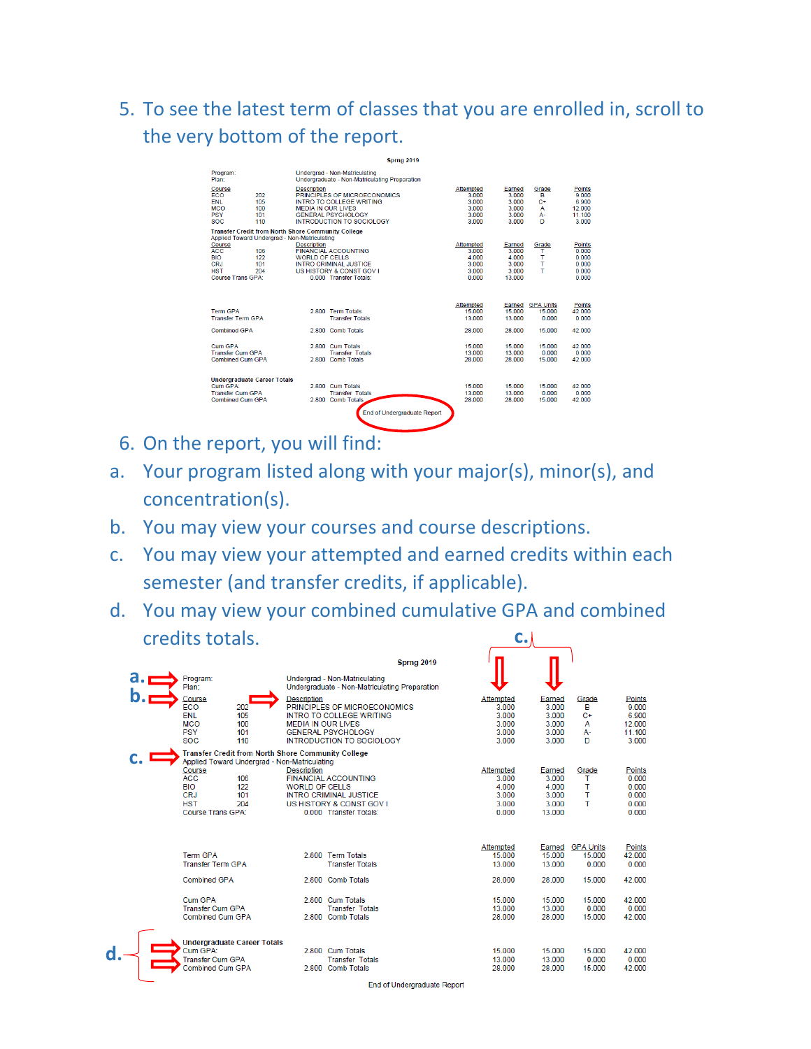5. To see the latest term of classes that you are enrolled in, scroll to the very bottom of the report.

|                                                                                                                                                           | <b>Sprng 2019</b>                                                                                                                                                            |                                                          |                                                      |                                               |                                                              |
|-----------------------------------------------------------------------------------------------------------------------------------------------------------|------------------------------------------------------------------------------------------------------------------------------------------------------------------------------|----------------------------------------------------------|------------------------------------------------------|-----------------------------------------------|--------------------------------------------------------------|
| Program:<br>Plan:                                                                                                                                         | Undergrad - Non-Matriculating<br>Undergraduate - Non-Matriculating Preparation                                                                                               |                                                          |                                                      |                                               |                                                              |
| Course<br><b>FCO</b><br>202<br><b>FNI</b><br>105<br><b>MCO</b><br>100<br><b>PSY</b><br>101<br><b>SOC</b><br>110                                           | <b>Description</b><br>PRINCIPLES OF MICROECONOMICS<br>INTRO TO COLLEGE WRITING<br><b>MEDIA IN OUR LIVES</b><br><b>GENERAL PSYCHOLOGY</b><br><b>INTRODUCTION TO SOCIOLOGY</b> | Attempted<br>3.000<br>3 0 0 0<br>3.000<br>3.000<br>3.000 | Earned<br>3.000<br>3.000<br>3.000<br>3.000<br>3.000  | Grade<br>в<br>$C+$<br>$\mathbf{A}$<br>А-<br>n | <b>Points</b><br>9.000<br>6.900<br>12,000<br>11.100<br>3.000 |
|                                                                                                                                                           | <b>Transfer Credit from North Shore Community College</b>                                                                                                                    |                                                          |                                                      |                                               |                                                              |
| Applied Toward Undergrad - Non-Matriculating<br>Course<br>ACC.<br>106<br><b>BIO</b><br>122<br><b>CRJ</b><br>101<br><b>HST</b><br>204<br>Course Trans GPA: | <b>Description</b><br><b>FINANCIAL ACCOUNTING</b><br><b>WORLD OF CELLS</b><br><b>INTRO CRIMINAL JUSTICE</b><br>US HISTORY & CONST GOV I<br>0.000 Transfer Totals:            | Attempted<br>3 000<br>4000<br>3.000<br>3.000<br>0.000    | Earned<br>3.000<br>4 000<br>3.000<br>3.000<br>13.000 | Grade<br>т<br>т<br>т<br>т                     | <b>Points</b><br>0.000<br>0.000<br>0.000<br>0.000<br>0.000   |
|                                                                                                                                                           |                                                                                                                                                                              |                                                          |                                                      |                                               |                                                              |
| <b>Term GPA</b><br><b>Transfer Term GPA</b>                                                                                                               | 2.800 Term Totals<br><b>Transfer Totals</b>                                                                                                                                  | <b>Attempted</b><br>15.000<br>13,000                     | Earned<br>15.000<br>13,000                           | <b>GPA Units</b><br>15.000<br>0.000           | Points<br>42.000<br>0.000                                    |
| <b>Combined GPA</b>                                                                                                                                       | 2.800 Comb Totals                                                                                                                                                            | 28.000                                                   | 28,000                                               | 15.000                                        | 42.000                                                       |
| Cum GPA<br><b>Transfer Cum GPA</b><br>Combined Cum GPA                                                                                                    | 2.800 Cum Totals<br><b>Transfer Totals</b><br>2.800 Comb Totals                                                                                                              | 15.000<br>13.000<br>28,000                               | 15.000<br>13.000<br>28,000                           | 15.000<br>0.000<br>15,000                     | 42.000<br>0.000<br>42 000                                    |
| <b>Undergraduate Career Totals</b>                                                                                                                        |                                                                                                                                                                              |                                                          |                                                      |                                               |                                                              |
| Cum GPA:<br><b>Transfer Cum GPA</b>                                                                                                                       | 2.800 Cum Totals<br><b>Transfer Totals</b>                                                                                                                                   | 15.000<br>13.000                                         | 15.000<br>13.000                                     | 15.000<br>0.000                               | 42.000<br>0.000                                              |
| Combined Cum GPA                                                                                                                                          | 2.800 Comb Totals                                                                                                                                                            | 28,000                                                   | 28,000                                               | 15 000                                        | 42 000                                                       |
|                                                                                                                                                           | End of Undergraduate Report                                                                                                                                                  |                                                          |                                                      |                                               |                                                              |

- 6. On the report, you will find:
- a. Your program listed along with your major(s), minor(s), and concentration(s).
- b. You may view your courses and course descriptions.
- c. You may view your attempted and earned credits within each semester (and transfer credits, if applicable).
- d. You may view your combined cumulative GPA and combined credits totals. **c.**

| b | a. <u>—</u> | Program:<br>Plan:<br>Course<br>ECO<br><b>ENL</b><br><b>MCO</b><br><b>PSY</b><br><b>SOC</b>                                                      | 202<br>105<br>100<br>101<br>110 | <b>Description</b><br><b>MEDIA IN OUR LIVES</b> | <b>Sprng 2019</b><br>Undergrad - Non-Matriculating<br>Undergraduate - Non-Matriculating Preparation<br>PRINCIPLES OF MICROECONOMICS<br><b>INTRO TO COLLEGE WRITING</b><br><b>GENERAL PSYCHOLOGY</b><br><b>INTRODUCTION TO SOCIOLOGY</b> | Attempted<br>3.000<br>3.000<br>3.000<br>3.000<br>3.000 | Earned<br>3.000<br>3.000<br>3.000<br>3.000<br>3.000 | Grade<br>в<br>$C+$<br>A<br>А-<br>D  | Points<br>9.000<br>6.900<br>12.000<br>11.100<br>3.000 |
|---|-------------|-------------------------------------------------------------------------------------------------------------------------------------------------|---------------------------------|-------------------------------------------------|-----------------------------------------------------------------------------------------------------------------------------------------------------------------------------------------------------------------------------------------|--------------------------------------------------------|-----------------------------------------------------|-------------------------------------|-------------------------------------------------------|
|   |             | <b>Transfer Credit from North Shore Community College</b><br>Applied Toward Undergrad - Non-Matriculating<br>Course<br><b>ACC</b><br><b>BIO</b> | 106<br>122                      | <b>Description</b><br>WORLD OF CELLS            | <b>FINANCIAL ACCOUNTING</b>                                                                                                                                                                                                             | Attempted<br>3.000<br>4.000                            | Earned<br>3.000<br>4 000                            | Grade<br>т<br>т                     | <b>Points</b><br>0.000<br>0.000                       |
|   |             | CRJ<br><b>HST</b><br>Course Trans GPA:                                                                                                          | 101<br>204                      |                                                 | <b>INTRO CRIMINAL JUSTICE</b><br>US HISTORY & CONST GOV I<br>0.000 Transfer Totals:                                                                                                                                                     | 3.000<br>3.000<br>0.000                                | 3.000<br>3.000<br>13.000                            | т<br>т                              | 0.000<br>0.000<br>0.000                               |
|   |             | <b>Term GPA</b><br><b>Transfer Term GPA</b>                                                                                                     |                                 |                                                 | 2.800 Term Totals<br><b>Transfer Totals</b>                                                                                                                                                                                             | Attempted<br>15.000<br>13.000                          | Earned<br>15.000<br>13.000                          | <b>GPA Units</b><br>15.000<br>0.000 | <b>Points</b><br>42.000<br>0.000                      |
|   |             | <b>Combined GPA</b><br>Cum GPA<br><b>Transfer Cum GPA</b><br><b>Combined Cum GPA</b>                                                            |                                 |                                                 | 2.800 Comb Totals<br>2.800 Cum Totals<br><b>Transfer Totals</b><br>2.800 Comb Totals                                                                                                                                                    | 28.000<br>15.000<br>13.000<br>28,000                   | 28,000<br>15.000<br>13.000<br>28,000                | 15.000<br>15.000<br>0.000<br>15.000 | 42.000<br>42.000<br>0.000<br>42.000                   |
| d |             | <b>Undergraduate Career Totals</b><br>Cum GPA:<br><b>Transfer Cum GPA</b><br><b>Combined Cum GPA</b>                                            |                                 |                                                 | 2.800 Cum Totals<br><b>Transfer Totals</b><br>2.800 Comb Totals                                                                                                                                                                         | 15.000<br>13.000<br>28,000                             | 15.000<br>13.000<br>28,000                          | 15.000<br>0.000<br>15.000           | 42.000<br>0.000<br>42.000                             |

End of Undergraduate Report